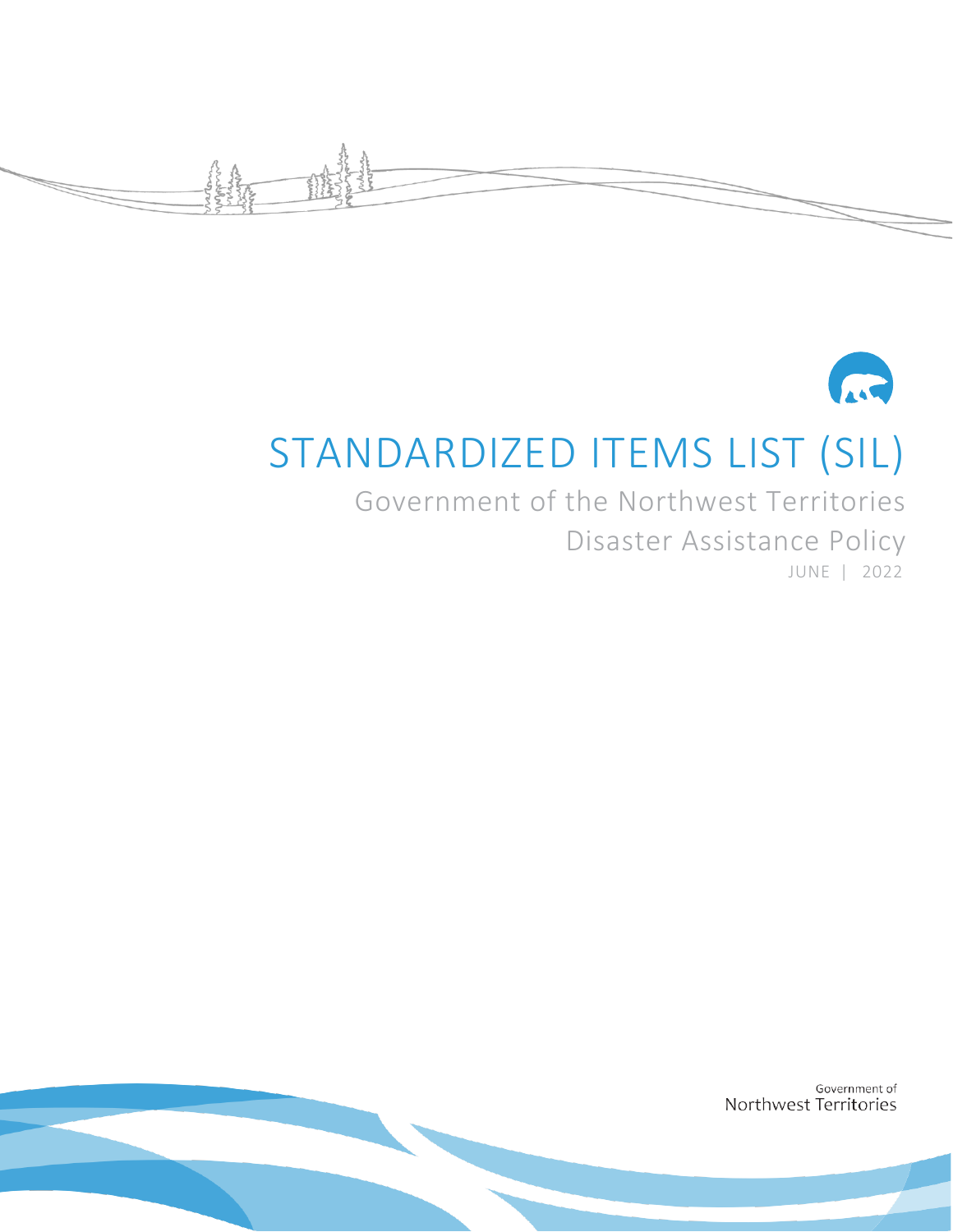



# STANDARDIZED ITEMS LIST (SIL)

Government of the Northwest Territories Disaster Assistance Policy JUNE | 2022

> Government of Northwest Territories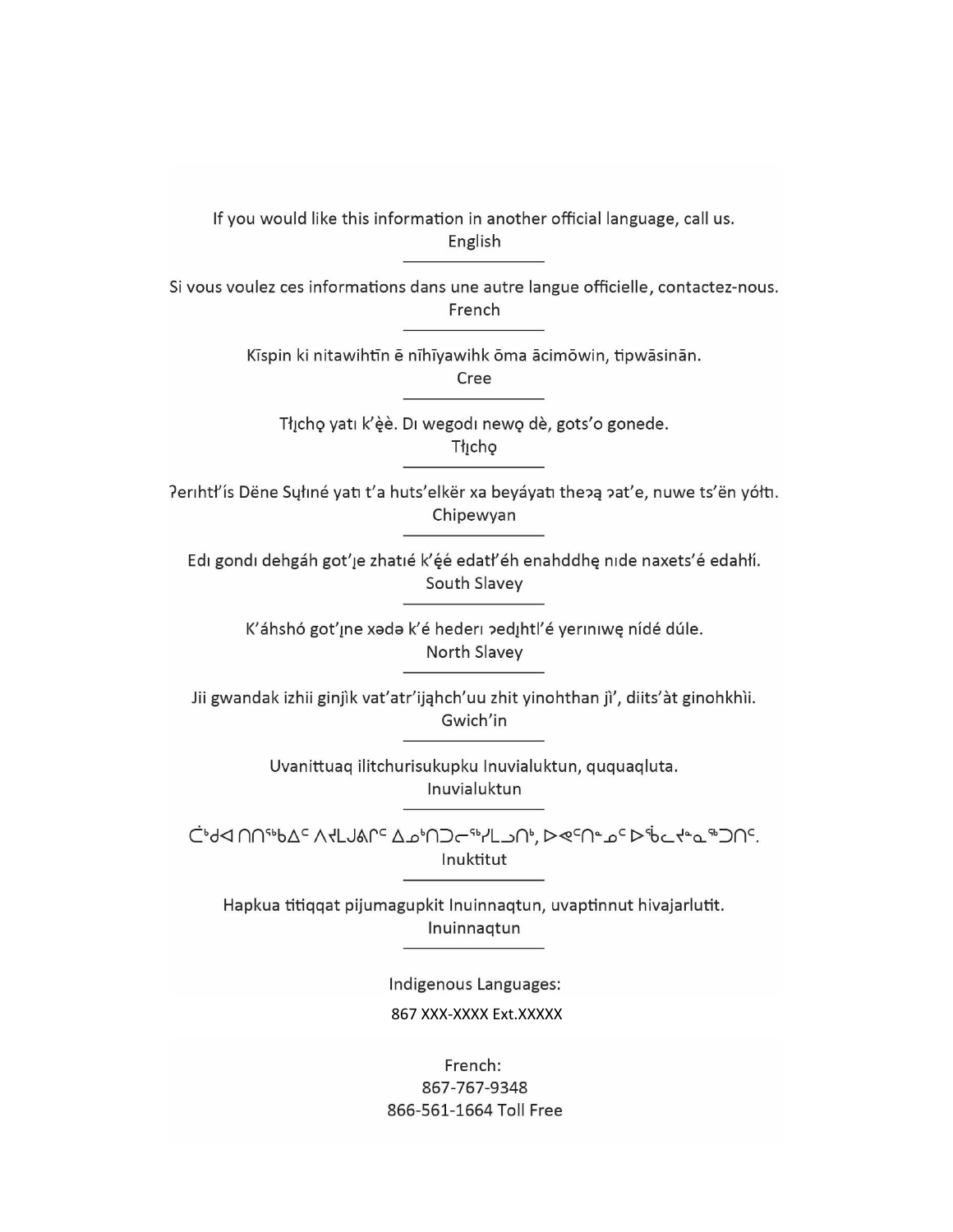If you would like this information in another official language, call us. English

Si vous voulez ces informations dans une autre langue officielle, contactez-nous. French

Kīspin ki nitawihtīn ē nīhīyawihk ōma ācimōwin, tipwāsinān.

Cree

Tłįchę yatı k'èè. Di wegodi newę dè, gots'o gonede. Thicho

Perihtł'ís Dëne Sųłiné yati t'a huts'elkër xa beyáyati thepą pat'e, nuwe ts'ën yółti. Chipewyan

Edi gondi dehgáh got'je zhatié k'éé edati'éh enahddhę nide naxets'é edahlí. South Slavey

> K'áhshó got'ıne xada k'é hederi pedihtl'é yeriniwę nídé dúle. North Slavey

Jii gwandak izhii ginjìk vat'atr'ijahch'uu zhit yinohthan jì', diits'àt ginohkhìi. Gwich'in

> Uvanittuaq ilitchurisukupku Inuvialuktun, ququaqluta. Inuvialuktun

כולא חחייוט בי אלגושמרי בשיח⊃ריוילגו ביץ בים ישים ליום ליים יים חי. Inuktitut

Hapkua titiqqat pijumagupkit Inuinnaqtun, uvaptinnut hivajarlutit. Inuinnagtun

> Indigenous Languages: 867 XXX-XXXX Ext.XXXXX

French: 867-767-9348 866-561-1664 Toll Free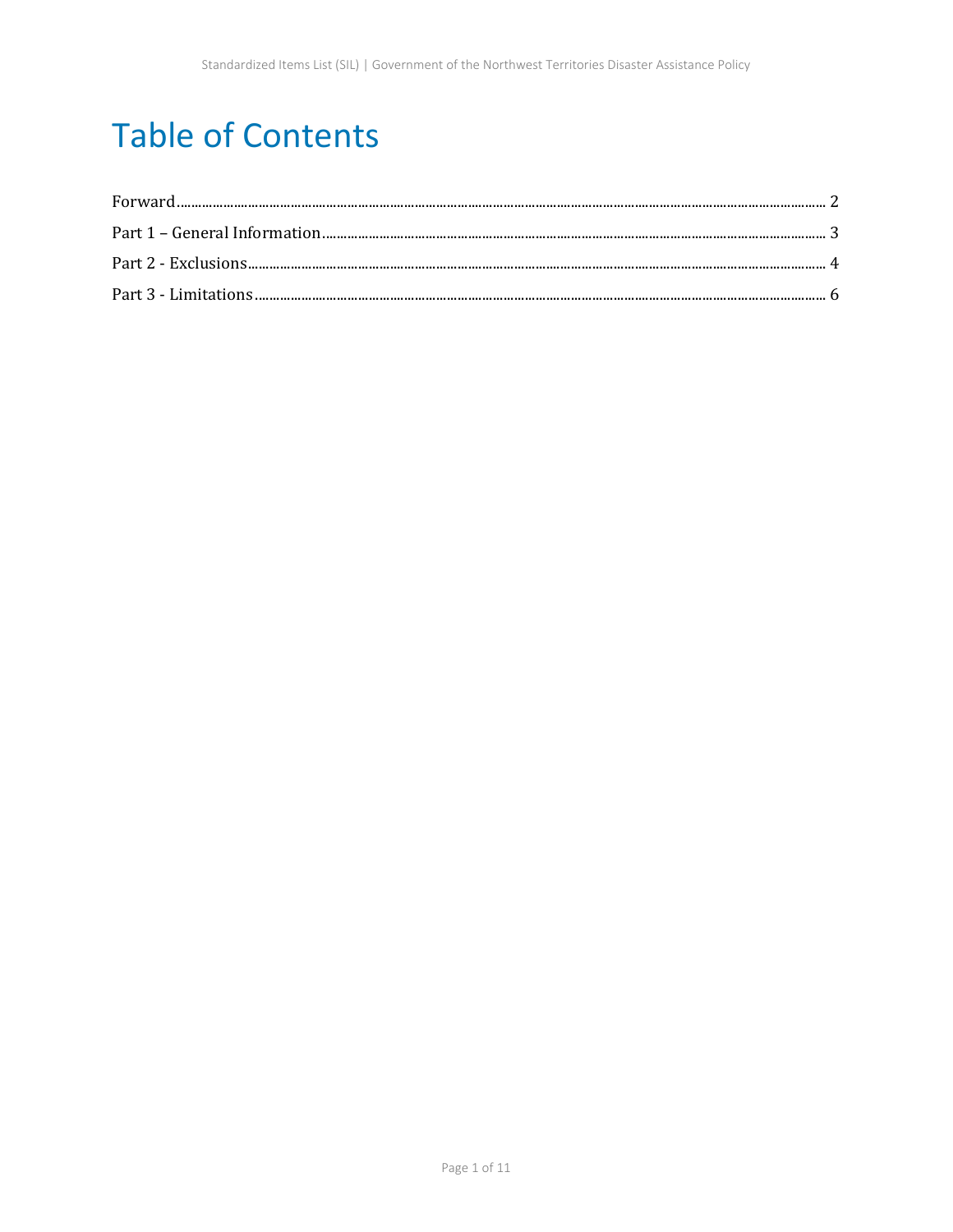## **Table of Contents**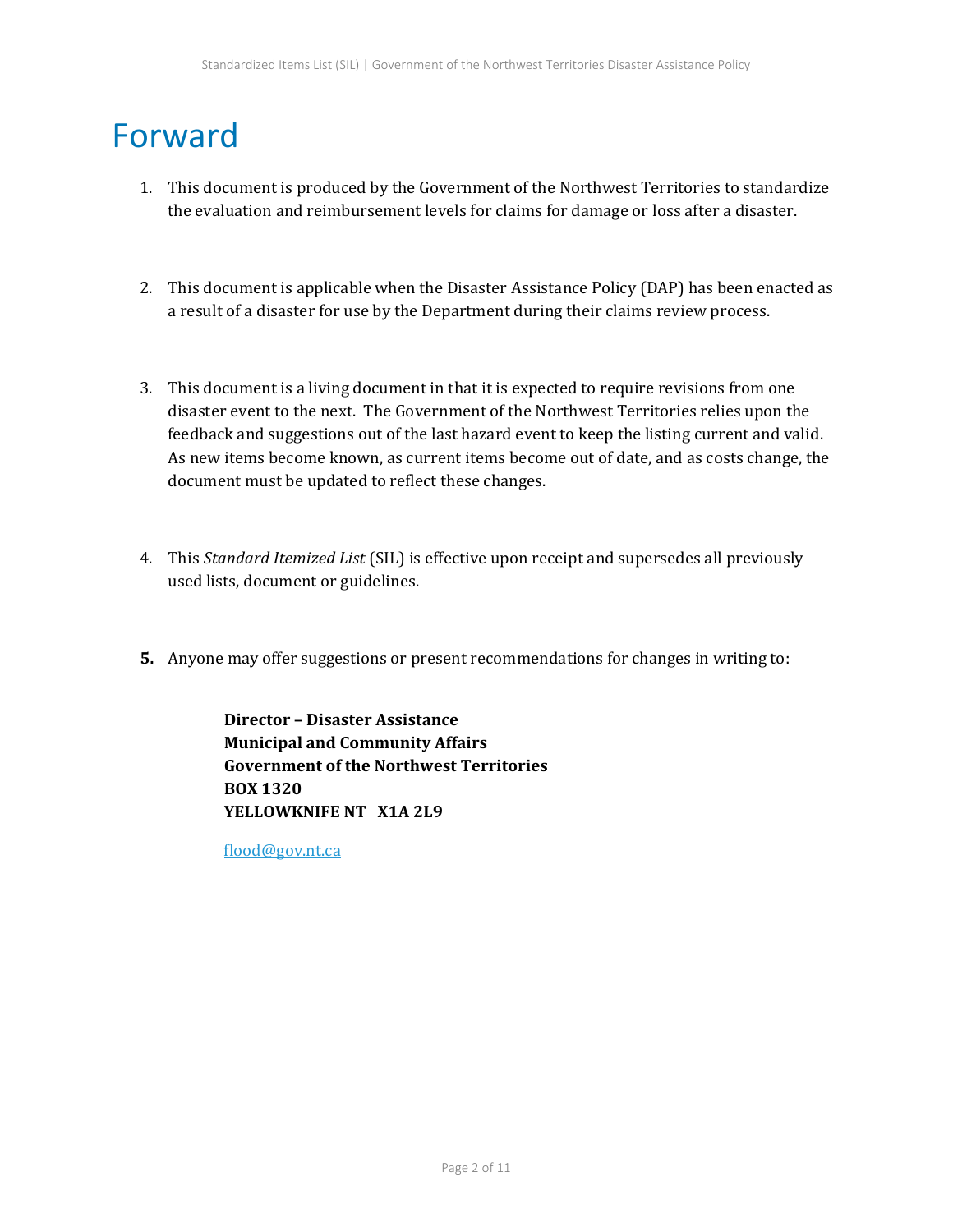### <span id="page-3-0"></span>Forward

- 1. This document is produced by the Government of the Northwest Territories to standardize the evaluation and reimbursement levels for claims for damage or loss after a disaster.
- 2. This document is applicable when the Disaster Assistance Policy (DAP) has been enacted as a result of a disaster for use by the Department during their claims review process.
- 3. This document is a living document in that it is expected to require revisions from one disaster event to the next. The Government of the Northwest Territories relies upon the feedback and suggestions out of the last hazard event to keep the listing current and valid. As new items become known, as current items become out of date, and as costs change, the document must be updated to reflect these changes.
- 4. This *Standard Itemized List* (SIL) is effective upon receipt and supersedes all previously used lists, document or guidelines.
- **5.** Anyone may offer suggestions or present recommendations for changes in writing to:

**Director – Disaster Assistance Municipal and Community Affairs Government of the Northwest Territories BOX 1320 YELLOWKNIFE NT X1A 2L9**

[flood@gov.nt.ca](mailto:flood@gov.nt.ca)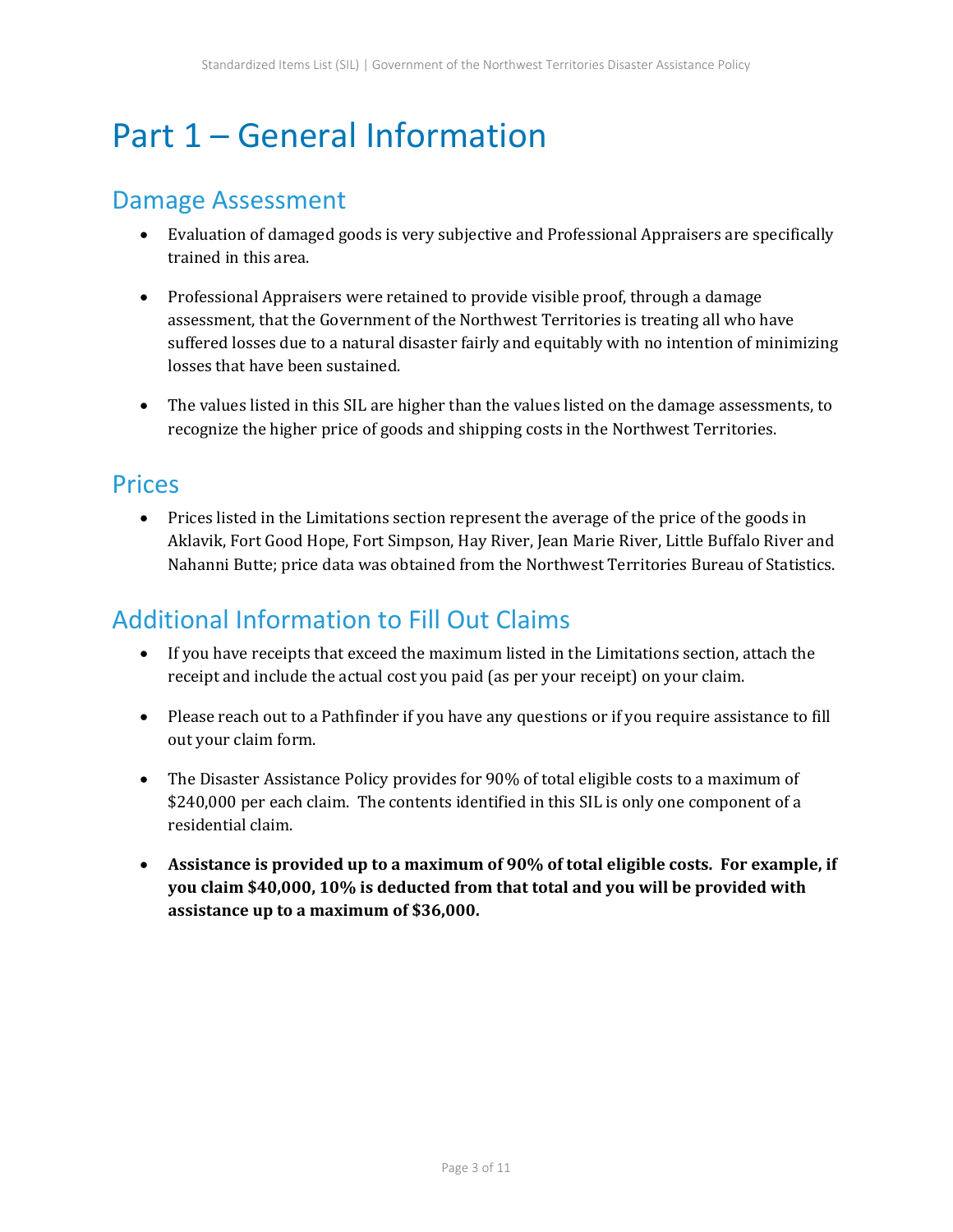## <span id="page-4-0"></span>Part 1 – General Information

#### Damage Assessment

- Evaluation of damaged goods is very subjective and Professional Appraisers are specifically trained in this area.
- Professional Appraisers were retained to provide visible proof, through a damage assessment, that the Government of the Northwest Territories is treating all who have suffered losses due to a natural disaster fairly and equitably with no intention of minimizing losses that have been sustained.
- The values listed in this SIL are higher than the values listed on the damage assessments, to recognize the higher price of goods and shipping costs in the Northwest Territories.

#### **Prices**

• Prices listed in the Limitations section represent the average of the price of the goods in Aklavik, Fort Good Hope, Fort Simpson, Hay River, Jean Marie River, Little Buffalo River and Nahanni Butte; price data was obtained from the Northwest Territories Bureau of Statistics.

### Additional Information to Fill Out Claims

- If you have receipts that exceed the maximum listed in the Limitations section, attach the receipt and include the actual cost you paid (as per your receipt) on your claim.
- Please reach out to a Pathfinder if you have any questions or if you require assistance to fill out your claim form.
- The Disaster Assistance Policy provides for 90% of total eligible costs to a maximum of \$240,000 per each claim. The contents identified in this SIL is only one component of a residential claim.
- **Assistance is provided up to a maximum of 90% of total eligible costs. For example, if you claim \$40,000, 10% is deducted from that total and you will be provided with assistance up to a maximum of \$36,000.**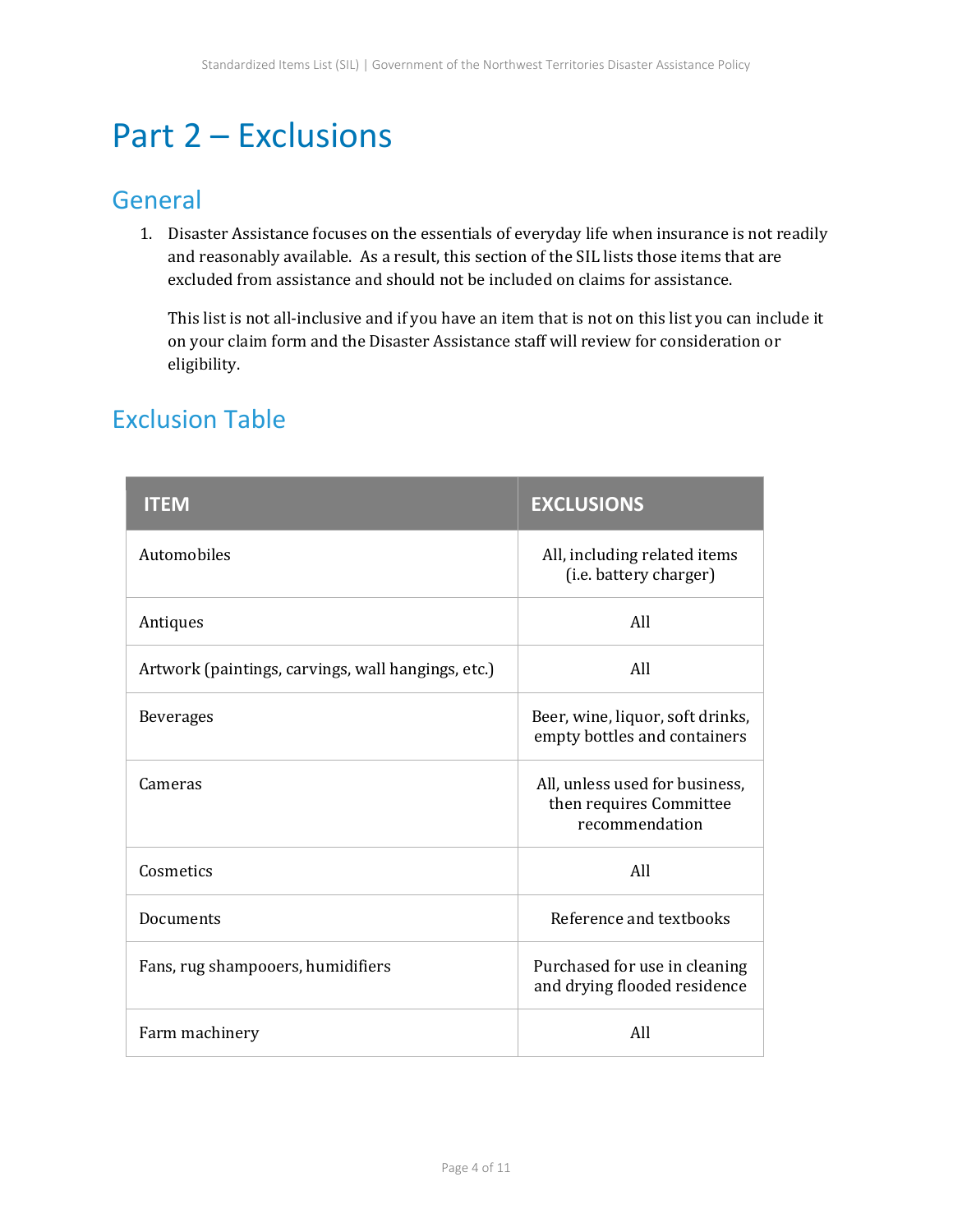### <span id="page-5-0"></span>Part 2 – Exclusions

#### General

1. Disaster Assistance focuses on the essentials of everyday life when insurance is not readily and reasonably available. As a result, this section of the SIL lists those items that are excluded from assistance and should not be included on claims for assistance.

This list is not all-inclusive and if you have an item that is not on this list you can include it on your claim form and the Disaster Assistance staff will review for consideration or eligibility.

| <b>ITEM</b>                                        | <b>EXCLUSIONS</b>                                                           |
|----------------------------------------------------|-----------------------------------------------------------------------------|
| Automobiles                                        | All, including related items<br>(i.e. battery charger)                      |
| Antiques                                           | All                                                                         |
| Artwork (paintings, carvings, wall hangings, etc.) | All                                                                         |
| <b>Beverages</b>                                   | Beer, wine, liquor, soft drinks,<br>empty bottles and containers            |
| Cameras                                            | All, unless used for business,<br>then requires Committee<br>recommendation |
| Cosmetics                                          | All                                                                         |
| Documents                                          | Reference and textbooks                                                     |
| Fans, rug shampooers, humidifiers                  | Purchased for use in cleaning<br>and drying flooded residence               |
| Farm machinery                                     | All                                                                         |

### Exclusion Table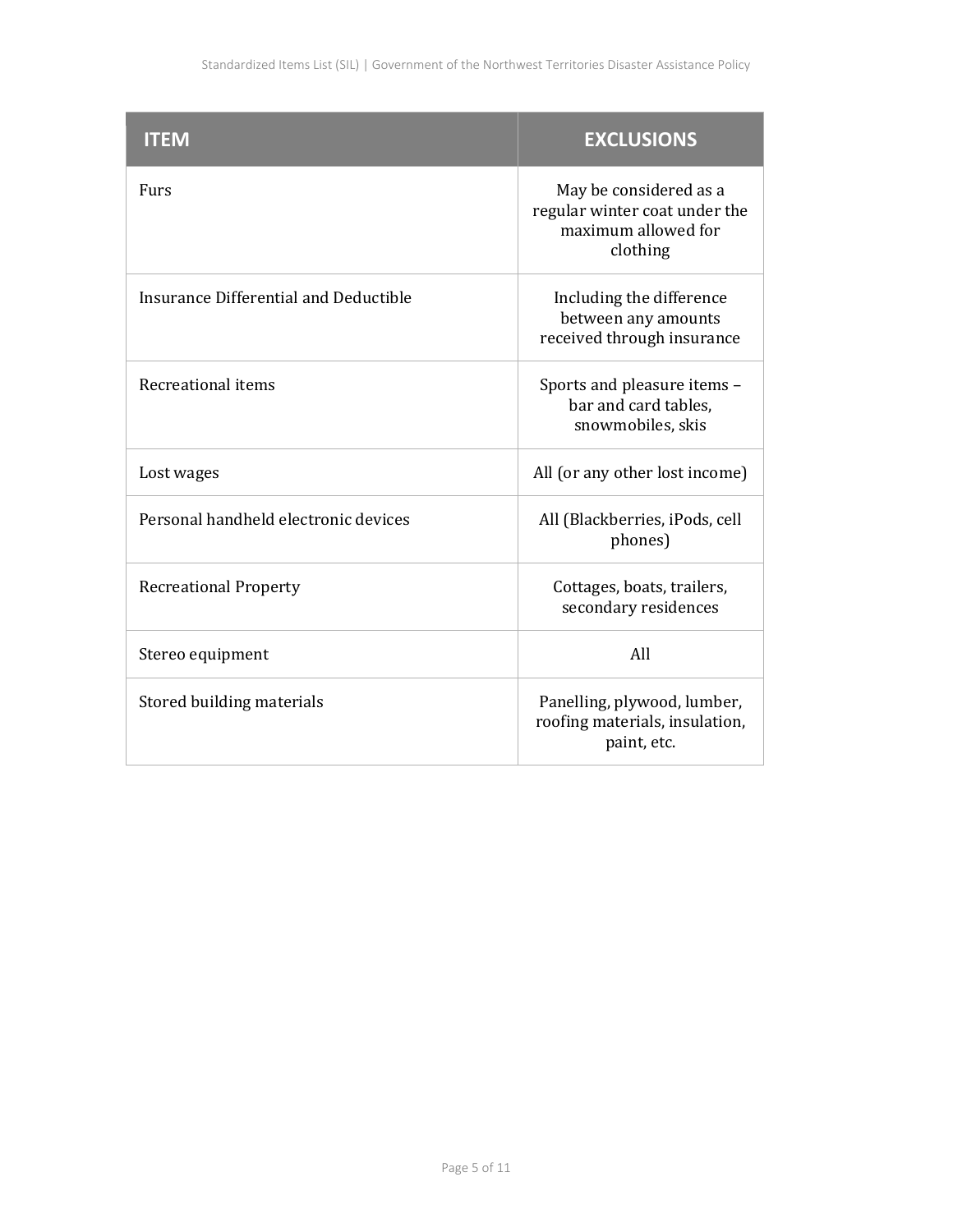| <b>ITEM</b>                           | <b>EXCLUSIONS</b>                                                                          |
|---------------------------------------|--------------------------------------------------------------------------------------------|
| <b>Furs</b>                           | May be considered as a<br>regular winter coat under the<br>maximum allowed for<br>clothing |
| Insurance Differential and Deductible | Including the difference<br>between any amounts<br>received through insurance              |
| <b>Recreational items</b>             | Sports and pleasure items -<br>bar and card tables,<br>snowmobiles, skis                   |
| Lost wages                            | All (or any other lost income)                                                             |
| Personal handheld electronic devices  | All (Blackberries, iPods, cell<br>phones)                                                  |
| <b>Recreational Property</b>          | Cottages, boats, trailers,<br>secondary residences                                         |
| Stereo equipment                      | All                                                                                        |
| Stored building materials             | Panelling, plywood, lumber,<br>roofing materials, insulation,<br>paint, etc.               |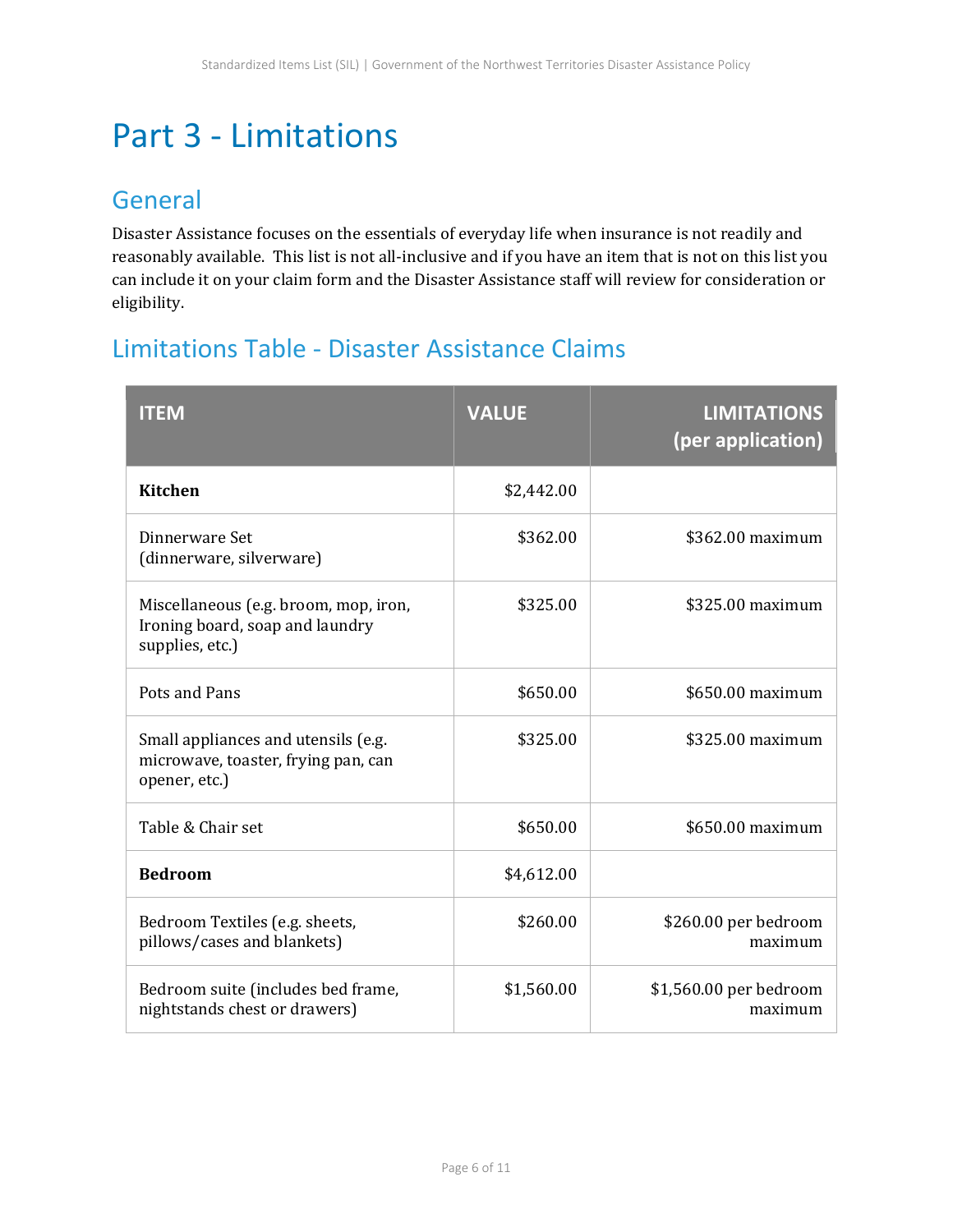## <span id="page-7-0"></span>Part 3 - Limitations

#### General

Disaster Assistance focuses on the essentials of everyday life when insurance is not readily and reasonably available. This list is not all-inclusive and if you have an item that is not on this list you can include it on your claim form and the Disaster Assistance staff will review for consideration or eligibility.

### Limitations Table - Disaster Assistance Claims

| <b>ITEM</b>                                                                                 | <b>VALUE</b> | <b>LIMITATIONS</b><br>(per application) |
|---------------------------------------------------------------------------------------------|--------------|-----------------------------------------|
| <b>Kitchen</b>                                                                              | \$2,442.00   |                                         |
| Dinnerware Set<br>(dinnerware, silverware)                                                  | \$362.00     | \$362.00 maximum                        |
| Miscellaneous (e.g. broom, mop, iron,<br>Ironing board, soap and laundry<br>supplies, etc.) | \$325.00     | \$325.00 maximum                        |
| Pots and Pans                                                                               | \$650.00     | \$650.00 maximum                        |
| Small appliances and utensils (e.g.<br>microwave, toaster, frying pan, can<br>opener, etc.) | \$325.00     | \$325.00 maximum                        |
| Table & Chair set                                                                           | \$650.00     | \$650.00 maximum                        |
| <b>Bedroom</b>                                                                              | \$4,612.00   |                                         |
| Bedroom Textiles (e.g. sheets,<br>pillows/cases and blankets)                               | \$260.00     | \$260.00 per bedroom<br>maximum         |
| Bedroom suite (includes bed frame,<br>nightstands chest or drawers)                         | \$1,560.00   | \$1,560.00 per bedroom<br>maximum       |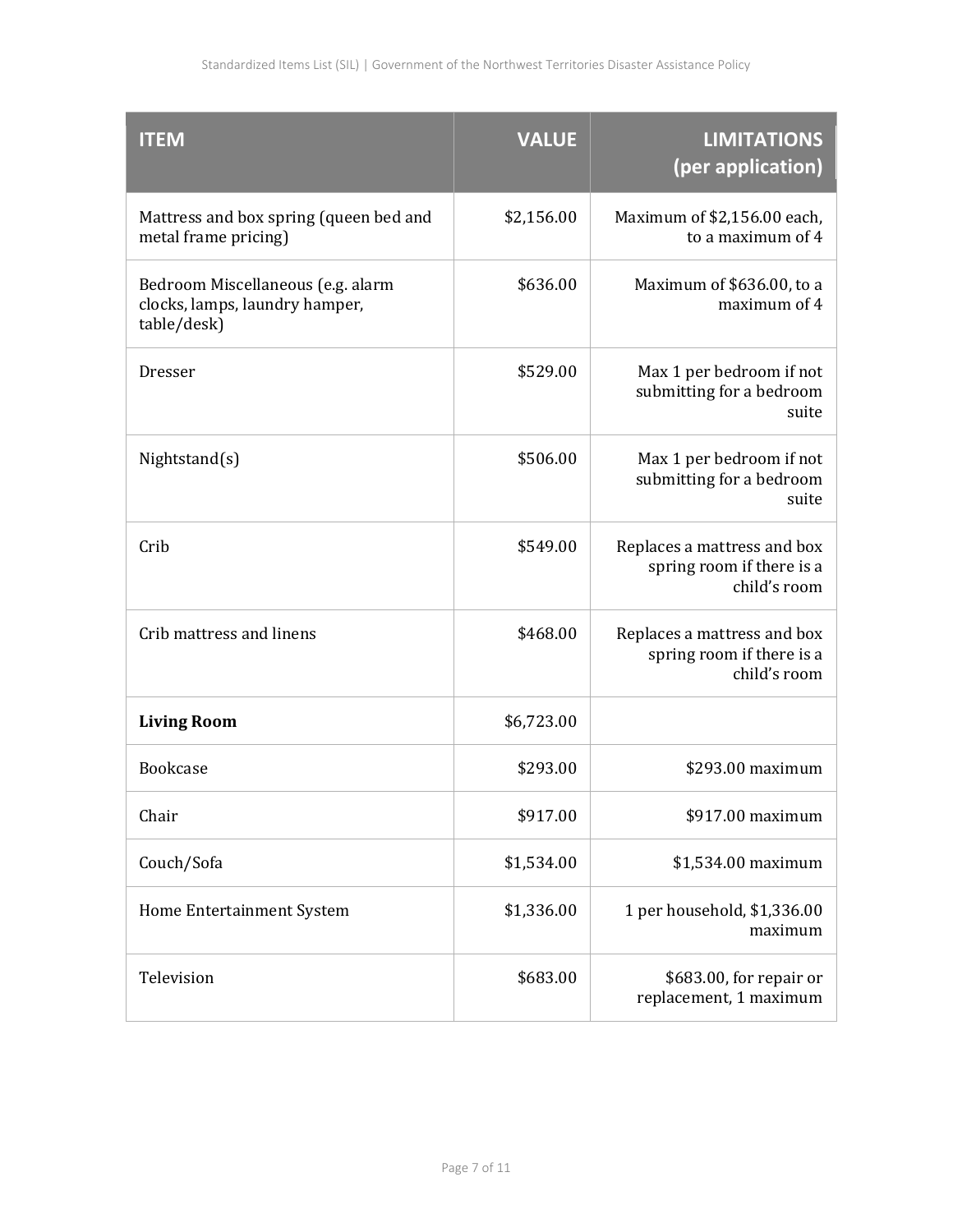| <b>ITEM</b>                                                                        | <b>VALUE</b> | <b>LIMITATIONS</b><br>(per application)                                  |
|------------------------------------------------------------------------------------|--------------|--------------------------------------------------------------------------|
| Mattress and box spring (queen bed and<br>metal frame pricing)                     | \$2,156.00   | Maximum of \$2,156.00 each,<br>to a maximum of 4                         |
| Bedroom Miscellaneous (e.g. alarm<br>clocks, lamps, laundry hamper,<br>table/desk) | \$636.00     | Maximum of \$636.00, to a<br>maximum of 4                                |
| Dresser                                                                            | \$529.00     | Max 1 per bedroom if not<br>submitting for a bedroom<br>suite            |
| Nightstand(s)                                                                      | \$506.00     | Max 1 per bedroom if not<br>submitting for a bedroom<br>suite            |
| Crib                                                                               | \$549.00     | Replaces a mattress and box<br>spring room if there is a<br>child's room |
| Crib mattress and linens                                                           | \$468.00     | Replaces a mattress and box<br>spring room if there is a<br>child's room |
| <b>Living Room</b>                                                                 | \$6,723.00   |                                                                          |
| <b>Bookcase</b>                                                                    | \$293.00     | \$293.00 maximum                                                         |
| Chair                                                                              | \$917.00     | \$917.00 maximum                                                         |
| Couch/Sofa                                                                         | \$1,534.00   | \$1,534.00 maximum                                                       |
| Home Entertainment System                                                          | \$1,336.00   | 1 per household, \$1,336.00<br>maximum                                   |
| Television                                                                         | \$683.00     | \$683.00, for repair or<br>replacement, 1 maximum                        |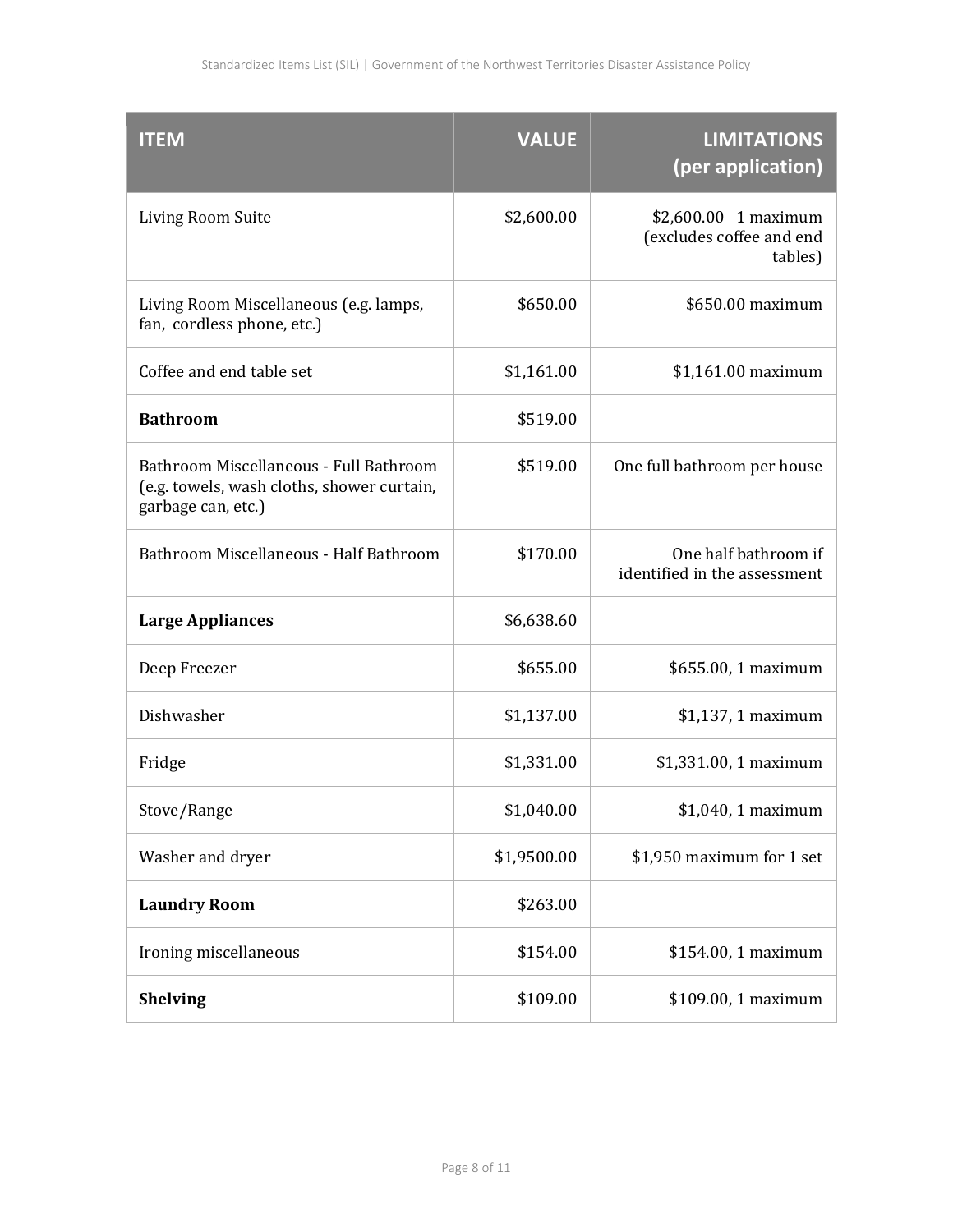| <b>ITEM</b>                                                                                                | <b>VALUE</b> | <b>LIMITATIONS</b><br>(per application)                      |
|------------------------------------------------------------------------------------------------------------|--------------|--------------------------------------------------------------|
| Living Room Suite                                                                                          | \$2,600.00   | $$2,600.00$ 1 maximum<br>(excludes coffee and end<br>tables) |
| Living Room Miscellaneous (e.g. lamps,<br>fan, cordless phone, etc.)                                       | \$650.00     | \$650.00 maximum                                             |
| Coffee and end table set                                                                                   | \$1,161.00   | \$1,161.00 maximum                                           |
| <b>Bathroom</b>                                                                                            | \$519.00     |                                                              |
| Bathroom Miscellaneous - Full Bathroom<br>(e.g. towels, wash cloths, shower curtain,<br>garbage can, etc.) | \$519.00     | One full bathroom per house                                  |
| Bathroom Miscellaneous - Half Bathroom                                                                     | \$170.00     | One half bathroom if<br>identified in the assessment         |
| <b>Large Appliances</b>                                                                                    | \$6,638.60   |                                                              |
| Deep Freezer                                                                                               | \$655.00     | \$655.00, 1 maximum                                          |
| Dishwasher                                                                                                 | \$1,137.00   | \$1,137, 1 maximum                                           |
| Fridge                                                                                                     | \$1,331.00   | \$1,331.00, 1 maximum                                        |
| Stove/Range                                                                                                | \$1,040.00   | \$1,040, 1 maximum                                           |
| Washer and dryer                                                                                           | \$1,9500.00  | \$1,950 maximum for 1 set                                    |
| <b>Laundry Room</b>                                                                                        | \$263.00     |                                                              |
| Ironing miscellaneous                                                                                      | \$154.00     | \$154.00, 1 maximum                                          |
| <b>Shelving</b>                                                                                            | \$109.00     | \$109.00, 1 maximum                                          |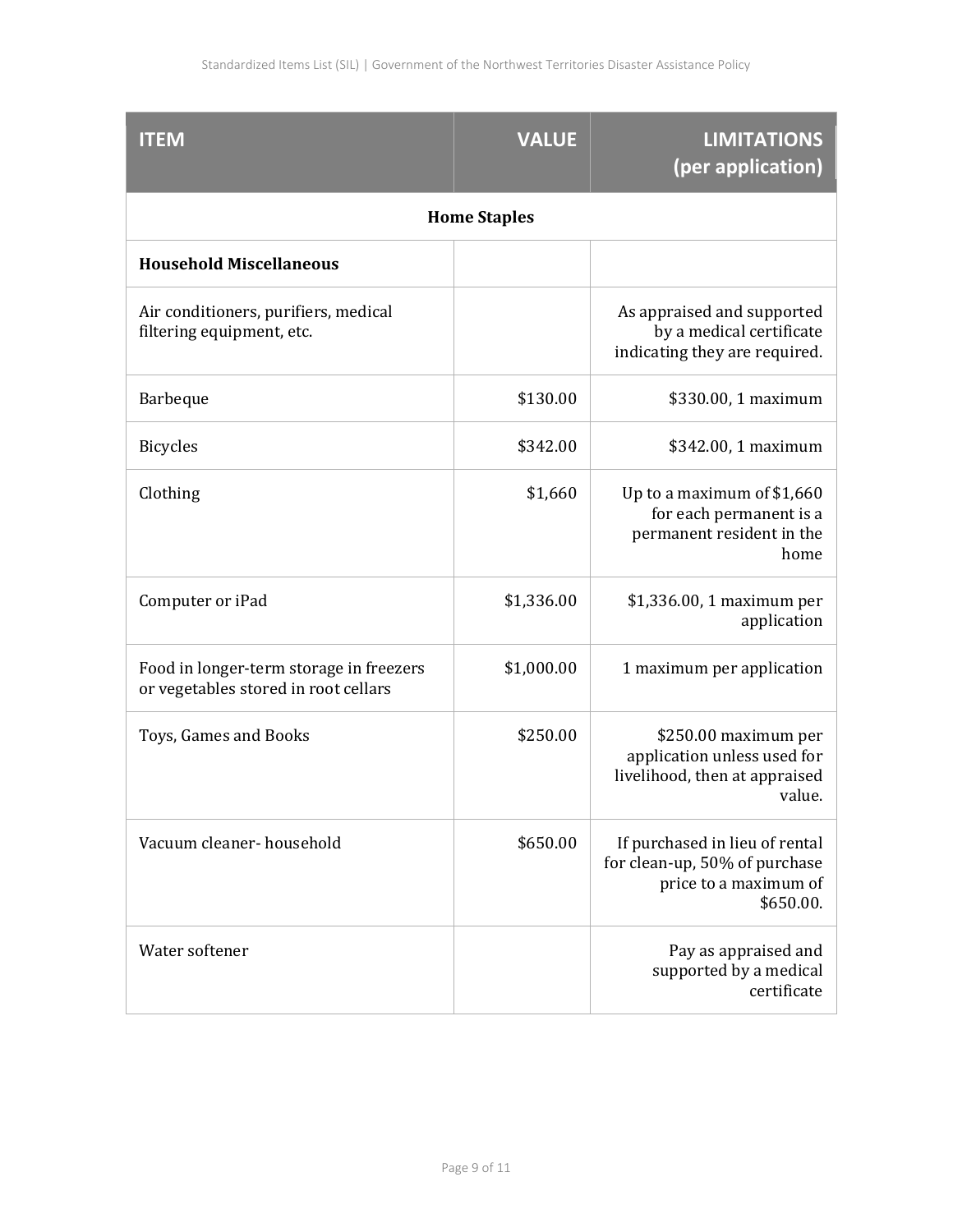| <b>ITEM</b>                                                                     | <b>VALUE</b> | <b>LIMITATIONS</b><br>(per application)                                                               |
|---------------------------------------------------------------------------------|--------------|-------------------------------------------------------------------------------------------------------|
| <b>Home Staples</b>                                                             |              |                                                                                                       |
| <b>Household Miscellaneous</b>                                                  |              |                                                                                                       |
| Air conditioners, purifiers, medical<br>filtering equipment, etc.               |              | As appraised and supported<br>by a medical certificate<br>indicating they are required.               |
| <b>Barbeque</b>                                                                 | \$130.00     | \$330.00, 1 maximum                                                                                   |
| <b>Bicycles</b>                                                                 | \$342.00     | \$342.00, 1 maximum                                                                                   |
| Clothing                                                                        | \$1,660      | Up to a maximum of \$1,660<br>for each permanent is a<br>permanent resident in the<br>home            |
| Computer or iPad                                                                | \$1,336.00   | \$1,336.00, 1 maximum per<br>application                                                              |
| Food in longer-term storage in freezers<br>or vegetables stored in root cellars | \$1,000.00   | 1 maximum per application                                                                             |
| Toys, Games and Books                                                           | \$250.00     | \$250.00 maximum per<br>application unless used for<br>livelihood, then at appraised<br>value.        |
| Vacuum cleaner- household                                                       | \$650.00     | If purchased in lieu of rental<br>for clean-up, 50% of purchase<br>price to a maximum of<br>\$650.00. |
| Water softener                                                                  |              | Pay as appraised and<br>supported by a medical<br>certificate                                         |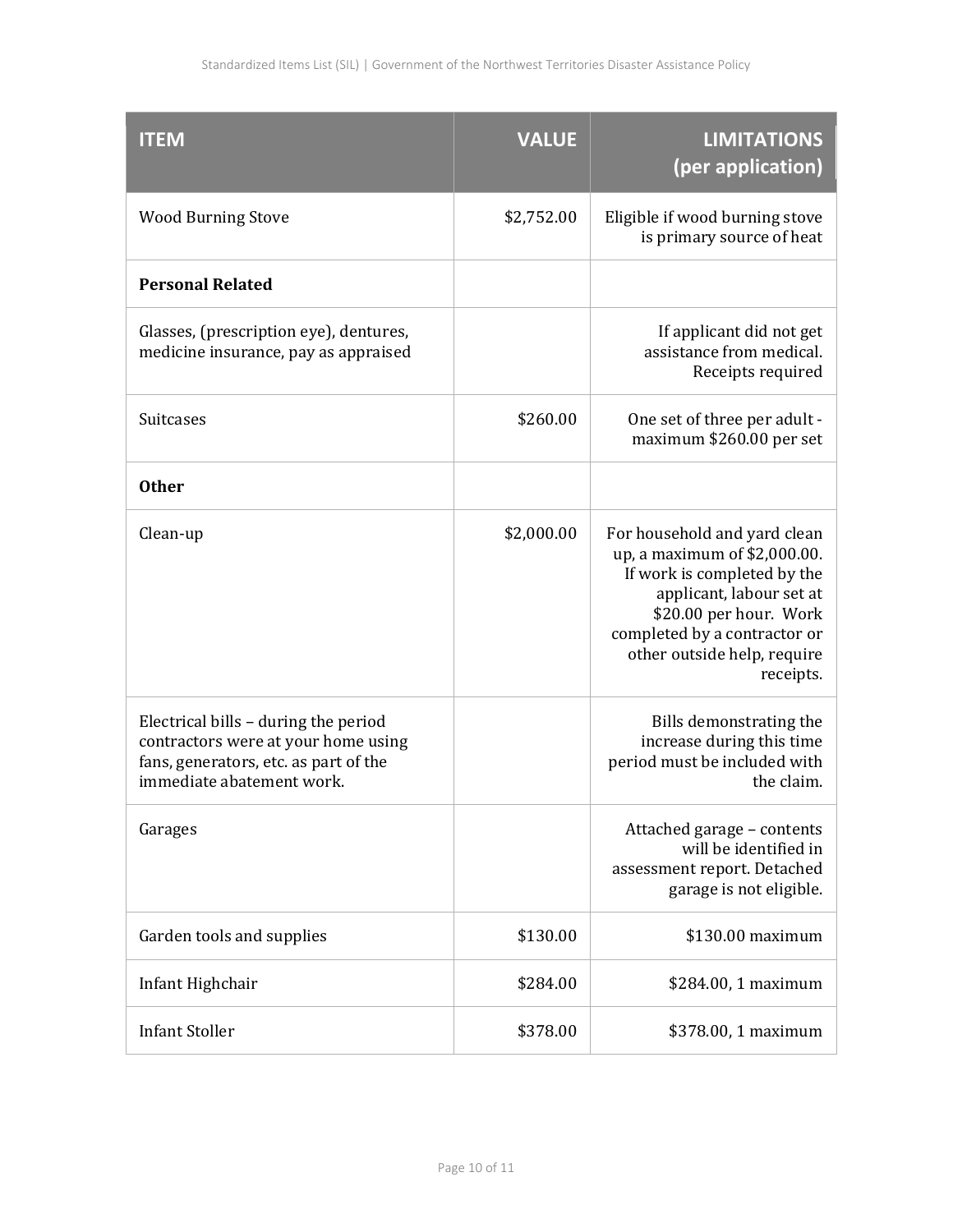| <b>ITEM</b>                                                                                                                                       | <b>VALUE</b> | <b>LIMITATIONS</b><br>(per application)                                                                                                                                                                                       |
|---------------------------------------------------------------------------------------------------------------------------------------------------|--------------|-------------------------------------------------------------------------------------------------------------------------------------------------------------------------------------------------------------------------------|
| <b>Wood Burning Stove</b>                                                                                                                         | \$2,752.00   | Eligible if wood burning stove<br>is primary source of heat                                                                                                                                                                   |
| <b>Personal Related</b>                                                                                                                           |              |                                                                                                                                                                                                                               |
| Glasses, (prescription eye), dentures,<br>medicine insurance, pay as appraised                                                                    |              | If applicant did not get<br>assistance from medical.<br>Receipts required                                                                                                                                                     |
| <b>Suitcases</b>                                                                                                                                  | \$260.00     | One set of three per adult -<br>maximum \$260.00 per set                                                                                                                                                                      |
| <b>Other</b>                                                                                                                                      |              |                                                                                                                                                                                                                               |
| Clean-up                                                                                                                                          | \$2,000.00   | For household and yard clean<br>up, a maximum of \$2,000.00.<br>If work is completed by the<br>applicant, labour set at<br>\$20.00 per hour. Work<br>completed by a contractor or<br>other outside help, require<br>receipts. |
| Electrical bills - during the period<br>contractors were at your home using<br>fans, generators, etc. as part of the<br>immediate abatement work. |              | Bills demonstrating the<br>increase during this time<br>period must be included with<br>the claim.                                                                                                                            |
| Garages                                                                                                                                           |              | Attached garage - contents<br>will be identified in<br>assessment report. Detached<br>garage is not eligible.                                                                                                                 |
| Garden tools and supplies                                                                                                                         | \$130.00     | \$130.00 maximum                                                                                                                                                                                                              |
| Infant Highchair                                                                                                                                  | \$284.00     | \$284.00, 1 maximum                                                                                                                                                                                                           |
| <b>Infant Stoller</b>                                                                                                                             | \$378.00     | \$378.00, 1 maximum                                                                                                                                                                                                           |